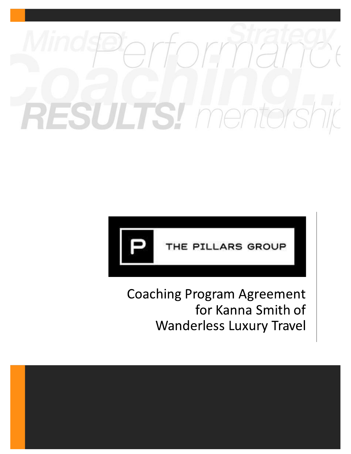# Ts! mento  $\bigcirc$



# **Coaching Program Agreement** for Kanna Smith of **Wanderless Luxury Travel**

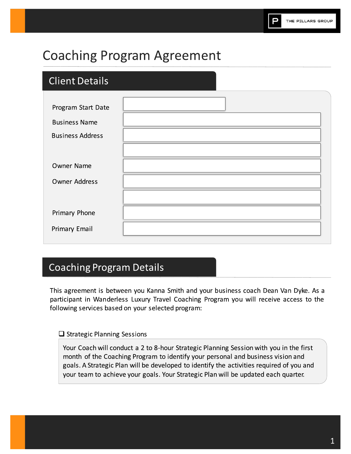# **Coaching Program Agreement**

# **Client Details**

| Program Start Date      |  |
|-------------------------|--|
| <b>Business Name</b>    |  |
| <b>Business Address</b> |  |
|                         |  |
| Owner Name              |  |
| <b>Owner Address</b>    |  |
|                         |  |
| Primary Phone           |  |
| Primary Email           |  |
|                         |  |

# **Coaching Program Details**

This agreement is between you Kanna Smith and your business coach Dean Van Dyke. As a participant in Wanderless Luxury Travel Coaching Program you will receive access to the following services based on your selected program:

### $\Box$  Strategic Planning Sessions

Your Coach will conduct a 2 to 8-hour Strategic Planning Session with you in the first month of the Coaching Program to identify your personal and business vision and goals. A Strategic Plan will be developed to identify the activities required of you and your team to achieve your goals. Your Strategic Plan will be updated each quarter.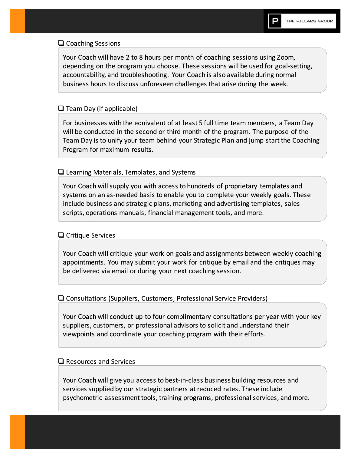#### $\Box$  Coaching Sessions

Your Coach will have 2 to 8 hours per month of coaching sessions using Zoom, depending on the program you choose. These sessions will be used for goal-setting, accountability, and troubleshooting. Your Coach is also available during normal business hours to discuss unforeseen challenges that arise during the week.

#### $\Box$  Team Day (if applicable)

For businesses with the equivalent of at least 5 full time team members, a Team Day will be conducted in the second or third month of the program. The purpose of the Team Day is to unify your team behind your Strategic Plan and jump start the Coaching Program for maximum results.

#### $\square$  Learning Materials, Templates, and Systems

Your Coach will supply you with access to hundreds of proprietary templates and systems on an as-needed basis to enable you to complete your weekly goals. These include business and strategic plans, marketing and advertising templates, sales scripts, operations manuals, financial management tools, and more.

#### $\Box$  Critique Services

Your Coach will critique your work on goals and assignments between weekly coaching appointments. You may submit your work for critique by email and the critiques may be delivered via email or during your next coaching session.

#### $\Box$  Consultations (Suppliers, Customers, Professional Service Providers)

Your Coach will conduct up to four complimentary consultations per year with your key suppliers, customers, or professional advisors to solicit and understand their viewpoints and coordinate your coaching program with their efforts.

#### $\Box$  Resources and Services

Your Coach will give you access to best-in-class business building resources and services supplied by our strategic partners at reduced rates. These include psychometric assessment tools, training programs, professional services, and more.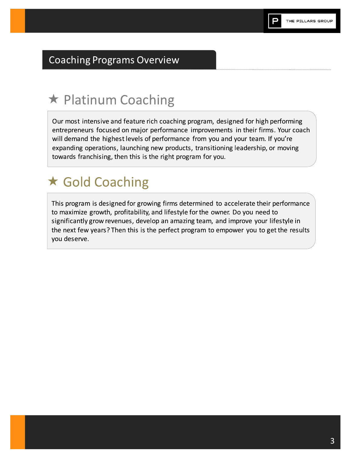# **Coaching Programs Overview**

# \* Platinum Coaching

Our most intensive and feature rich coaching program, designed for high performing entrepreneurs focused on major performance improvements in their firms. Your coach will demand the highest levels of performance from you and your team. If you're expanding operations, launching new products, transitioning leadership, or moving towards franchising, then this is the right program for you.

# ★ Gold Coaching

This program is designed for growing firms determined to accelerate their performance to maximize growth, profitability, and lifestyle for the owner. Do you need to significantly grow revenues, develop an amazing team, and improve your lifestyle in the next few years? Then this is the perfect program to empower you to get the results you deserve.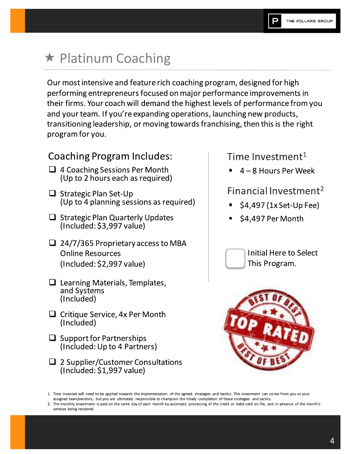# ★ Platinum Coaching

Our most intensive and feature rich coaching program, designed for high performing entrepreneurs focused on major performance improvements in their firms. Your coach will demand the highest levels of performance from you and your team. If you're expanding operations, launching new products, transitioning leadership, or moving towards franchising, then this is the right program for you.

## **Coaching Program Includes:**

- $\Box$  4 Coaching Sessions Per Month (Up to 2 hours each as required)
- $\Box$  Strategic Plan Set-Up (Up to 4 planning sessions as required)
- $\Box$  Strategic Plan Quarterly Updates  $(Inded: $3,997 value)$
- $\Box$  24/7/365 Proprietary access to MBA **Online Resources**  $(Indued: $2,997 value)$
- $\Box$  Learning Materials, Templates, and Systems (Included)
- $\Box$  Critique Service, 4x Per Month (Included)
- $\Box$  Support for Partnerships (Included: Up to 4 Partners)
- $\square$  2 Supplier/Customer Consultations (Included: \$1,997 value)

## Time Investment<sup>1</sup>

4-8 Hours Per Week

## Financial Investment<sup>2</sup>

- \$4,497 (1x Set-Up Fee)
- \$4,497 Per Month





<sup>1.</sup> Time invested will need to be applied towards the implementation of the agreed strategies and tactics. This investment can come from you or your assigned team/vendors, but you are ultimately responsible to champion the timely completion of these strategies and tactics.

<sup>2.</sup> The monthly investment is paid on the same day of each month by automatic processing of the credit or debit card on file, and in advance of the month's services being rendered.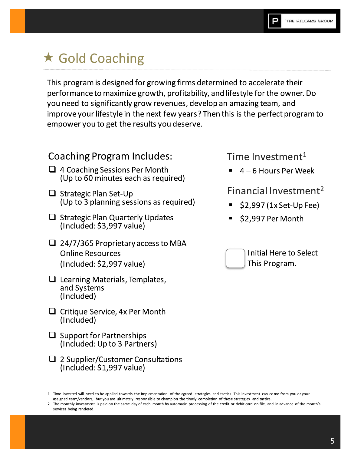# ★ Gold Coaching

This program is designed for growing firms determined to accelerate their performance to maximize growth, profitability, and lifestyle for the owner. Do you need to significantly grow revenues, develop an amazing team, and improve your lifestyle in the next few years? Then this is the perfect program to empower you to get the results you deserve.

## **Coaching Program Includes:**

- $\Box$  4 Coaching Sessions Per Month (Up to 60 minutes each as required)
- $\Box$  Strategic Plan Set-Up (Up to 3 planning sessions as required)
- $\Box$  Strategic Plan Quarterly Updates  $(Inded: $3,997 value)$
- $\Box$  24/7/365 Proprietary access to MBA **Online Resources** (Included: \$2,997 value)
- $\Box$  Learning Materials, Templates, and Systems (Included)
- $\Box$  Critique Service, 4x Per Month (Included)
- $\Box$  Support for Partnerships (Included: Up to 3 Partners)
- $\Box$  2 Supplier/Customer Consultations (Included: \$1,997 value)

## Time Investment<sup>1</sup>

4 – 6 Hours Per Week

## Financial Investment<sup>2</sup>

- \$2,997 (1x Set-Up Fee)
- \$2,997 Per Month



<sup>1.</sup> Time invested will need to be applied towards the implementation of the agreed strategies and tactics. This investment can come from you or your assigned team/vendors, but you are ultimately responsible to champion the timely completion of these strategies and tactics.

<sup>2.</sup> The monthly investment is paid on the same day of each month by automatic processing of the credit or debit card on file, and in advance of the month's services being rendered.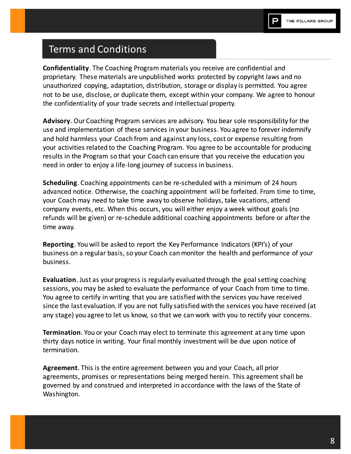# **Terms and Conditions**

**Confidentiality.** The Coaching Program materials you receive are confidential and proprietary. These materials are unpublished works protected by copyright laws and no unauthorized copying, adaptation, distribution, storage or display is permitted. You agree not to be use, disclose, or duplicate them, except within your company. We agree to honour the confidentiality of your trade secrets and intellectual property.

**Advisory.** Our Coaching Program services are advisory. You bear sole responsibility for the use and implementation of these services in your business. You agree to forever indemnify and hold harmless your Coach from and against any loss, cost or expense resulting from your activities related to the Coaching Program. You agree to be accountable for producing results in the Program so that your Coach can ensure that you receive the education you need in order to enjoy a life-long journey of success in business.

Scheduling. Coaching appointments can be re-scheduled with a minimum of 24 hours advanced notice. Otherwise, the coaching appointment will be forfeited. From time to time, your Coach may need to take time away to observe holidays, take vacations, attend company events, etc. When this occurs, you will either enjoy a week without goals (no refunds will be given) or re-schedule additional coaching appointments before or after the time away.

**Reporting.** You will be asked to report the Key Performance Indicators (KPI's) of your business on a regular basis, so your Coach can monitor the health and performance of your business.

**Evaluation.** Just as your progress is regularly evaluated through the goal setting coaching sessions, you may be asked to evaluate the performance of your Coach from time to time. You agree to certify in writing that you are satisfied with the services you have received since the last evaluation. If you are not fully satisfied with the services you have received (at any stage) you agree to let us know, so that we can work with you to rectify your concerns.

**Termination.** You or your Coach may elect to terminate this agreement at any time upon thirty days notice in writing. Your final monthly investment will be due upon notice of termination.

Agreement. This is the entire agreement between you and your Coach, all prior agreements, promises or representations being merged herein. This agreement shall be governed by and construed and interpreted in accordance with the laws of the State of Washington.